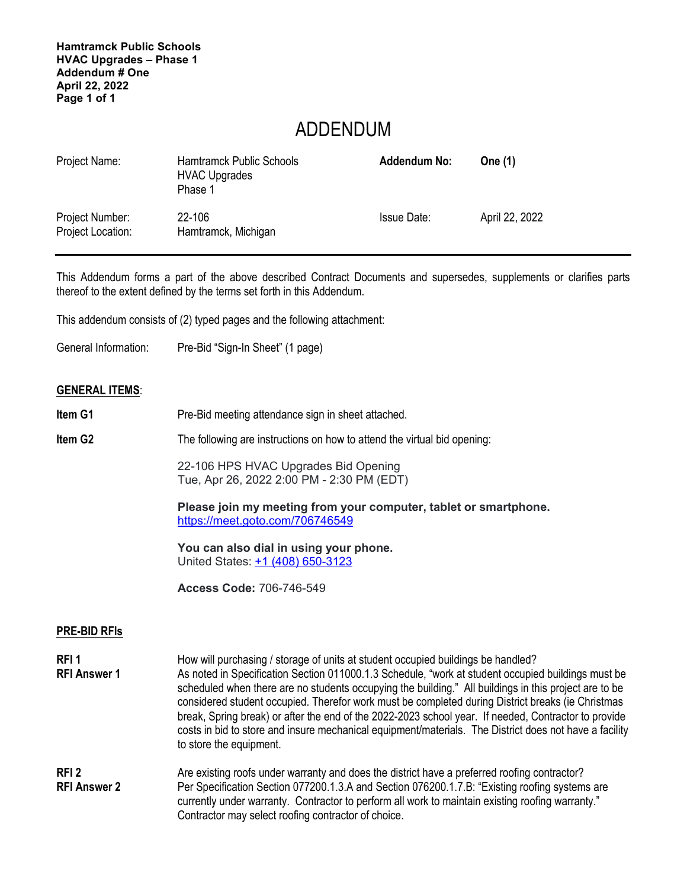**Hamtramck Public Schools HVAC Upgrades – Phase 1 Addendum # One April 22, 2022 Page 1 of 1** 

## ADDENDUM

| Project Name:                        | <b>Hamtramck Public Schools</b><br><b>HVAC Upgrades</b><br>Phase 1 | <b>Addendum No:</b> | One (1)        |
|--------------------------------------|--------------------------------------------------------------------|---------------------|----------------|
| Project Number:<br>Project Location: | 22-106<br>Hamtramck, Michigan                                      | <b>Issue Date:</b>  | April 22, 2022 |

This Addendum forms a part of the above described Contract Documents and supersedes, supplements or clarifies parts thereof to the extent defined by the terms set forth in this Addendum.

This addendum consists of (2) typed pages and the following attachment:

General Information: Pre-Bid "Sign-In Sheet" (1 page)

## **GENERAL ITEMS**:

- **Item G1** Pre-Bid meeting attendance sign in sheet attached. **Item G2** The following are instructions on how to attend the virtual bid opening: 22-106 HPS HVAC Upgrades Bid Opening Tue, Apr 26, 2022 2:00 PM - 2:30 PM (EDT) **Please join my meeting from your computer, tablet or smartphone.** https://meet.goto.com/706746549 **You can also dial in using your phone.** United States: +1 (408) 650-3123 **Access Code:** 706-746-549 **PRE-BID RFIs RFI 1** How will purchasing / storage of units at student occupied buildings be handled? **RFI Answer 1** As noted in Specification Section 011000.1.3 Schedule, "work at student occupied buildings must be scheduled when there are no students occupying the building." All buildings in this project are to be considered student occupied. Therefor work must be completed during District breaks (ie Christmas break, Spring break) or after the end of the 2022-2023 school year. If needed, Contractor to provide costs in bid to store and insure mechanical equipment/materials. The District does not have a facility to store the equipment. **RFI 2** Are existing roofs under warranty and does the district have a preferred roofing contractor?
- **RFI Answer 2** Per Specification Section 077200.1.3.A and Section 076200.1.7.B: "Existing roofing systems are currently under warranty. Contractor to perform all work to maintain existing roofing warranty." Contractor may select roofing contractor of choice.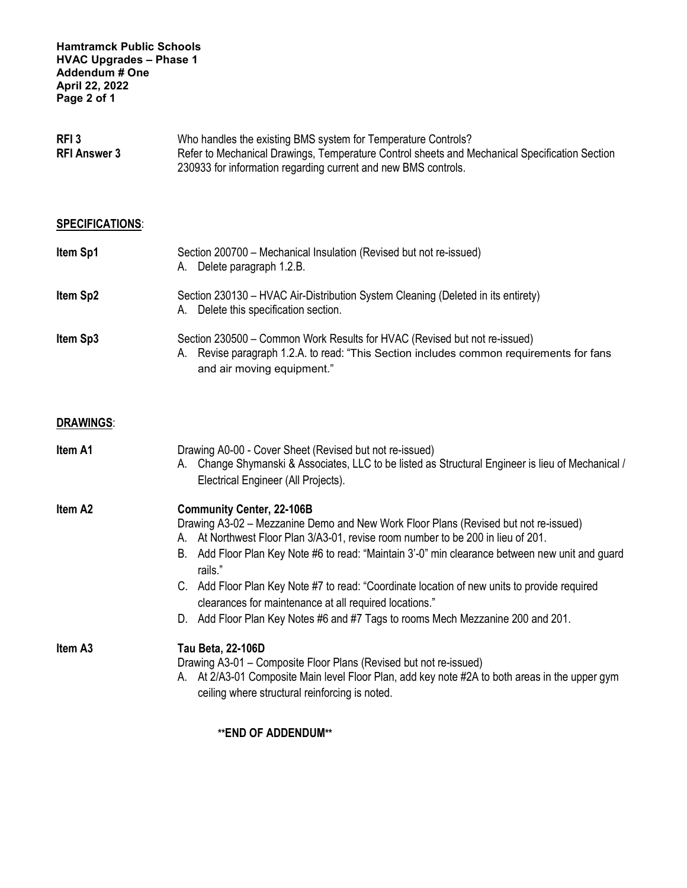| RFI <sub>3</sub>    | Who handles the existing BMS system for Temperature Controls?                                 |
|---------------------|-----------------------------------------------------------------------------------------------|
| <b>RFI Answer 3</b> | Refer to Mechanical Drawings, Temperature Control sheets and Mechanical Specification Section |
|                     | 230933 for information regarding current and new BMS controls.                                |

## **SPECIFICATIONS**:

| Item Sp1 | Section 200700 - Mechanical Insulation (Revised but not re-issued)<br>Delete paragraph 1.2.B.<br>А.                                                                  |
|----------|----------------------------------------------------------------------------------------------------------------------------------------------------------------------|
| Item Sp2 | Section 230130 – HVAC Air-Distribution System Cleaning (Deleted in its entirety)<br>Delete this specification section.<br>А.                                         |
| Item Sp3 | Section 230500 – Common Work Results for HVAC (Revised but not re-issued)<br>A. Revise paragraph 1.2.A. to read: "This Section includes common requirements for fans |

and air moving equipment."

## **DRAWINGS**:

| Item A1             | Drawing A0-00 - Cover Sheet (Revised but not re-issued)<br>Change Shymanski & Associates, LLC to be listed as Structural Engineer is lieu of Mechanical /<br>А.<br>Electrical Engineer (All Projects).                                                                                                                                                                                                                                                                                                                                                                    |
|---------------------|---------------------------------------------------------------------------------------------------------------------------------------------------------------------------------------------------------------------------------------------------------------------------------------------------------------------------------------------------------------------------------------------------------------------------------------------------------------------------------------------------------------------------------------------------------------------------|
| Item A <sub>2</sub> | <b>Community Center, 22-106B</b><br>Drawing A3-02 – Mezzanine Demo and New Work Floor Plans (Revised but not re-issued)<br>A. At Northwest Floor Plan 3/A3-01, revise room number to be 200 in lieu of 201.<br>Add Floor Plan Key Note #6 to read: "Maintain 3'-0" min clearance between new unit and guard<br>В.<br>rails."<br>C. Add Floor Plan Key Note #7 to read: "Coordinate location of new units to provide required<br>clearances for maintenance at all required locations."<br>D. Add Floor Plan Key Notes #6 and #7 Tags to rooms Mech Mezzanine 200 and 201. |
| Item A3             | <b>Tau Beta, 22-106D</b><br>Drawing A3-01 - Composite Floor Plans (Revised but not re-issued)<br>A. At 2/A3-01 Composite Main level Floor Plan, add key note #2A to both areas in the upper gym<br>ceiling where structural reinforcing is noted.                                                                                                                                                                                                                                                                                                                         |

**\*\*END OF ADDENDUM\*\***